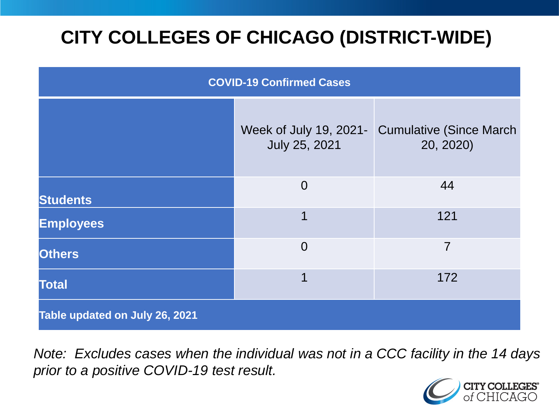# **CITY COLLEGES OF CHICAGO (DISTRICT-WIDE)**

| <b>COVID-19 Confirmed Cases</b> |                                         |                                              |
|---------------------------------|-----------------------------------------|----------------------------------------------|
|                                 | Week of July 19, 2021-<br>July 25, 2021 | <b>Cumulative (Since March)</b><br>20, 2020) |
| <b>Students</b>                 | $\overline{0}$                          | 44                                           |
| <b>Employees</b>                | 1                                       | 121                                          |
| <b>Others</b>                   | $\overline{0}$                          | $\overline{7}$                               |
| <b>Total</b>                    | 1                                       | 172                                          |
| Table updated on July 26, 2021  |                                         |                                              |

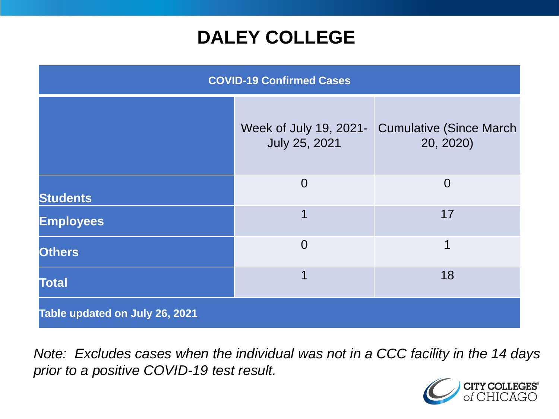### **DALEY COLLEGE**

| <b>COVID-19 Confirmed Cases</b> |                                         |                                              |
|---------------------------------|-----------------------------------------|----------------------------------------------|
|                                 | Week of July 19, 2021-<br>July 25, 2021 | <b>Cumulative (Since March)</b><br>20, 2020) |
| <b>Students</b>                 | $\overline{0}$                          | $\overline{0}$                               |
| <b>Employees</b>                | 1                                       | 17                                           |
| <b>Others</b>                   | $\overline{0}$                          | 1                                            |
| <b>Total</b>                    | 1                                       | 18                                           |
| Table updated on July 26, 2021  |                                         |                                              |

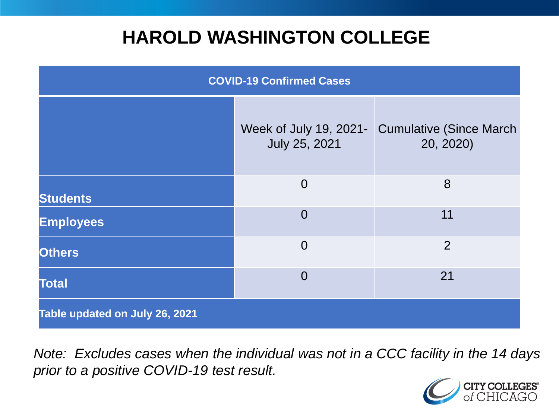### **HAROLD WASHINGTON COLLEGE**

| <b>COVID-19 Confirmed Cases</b> |                                         |                                              |
|---------------------------------|-----------------------------------------|----------------------------------------------|
|                                 | Week of July 19, 2021-<br>July 25, 2021 | <b>Cumulative (Since March)</b><br>20, 2020) |
| <b>Students</b>                 | $\overline{0}$                          | 8                                            |
| <b>Employees</b>                | $\Omega$                                | 11                                           |
| <b>Others</b>                   | $\overline{0}$                          | $\overline{2}$                               |
| <b>Total</b>                    | $\Omega$                                | 21                                           |
| Table updated on July 26, 2021  |                                         |                                              |

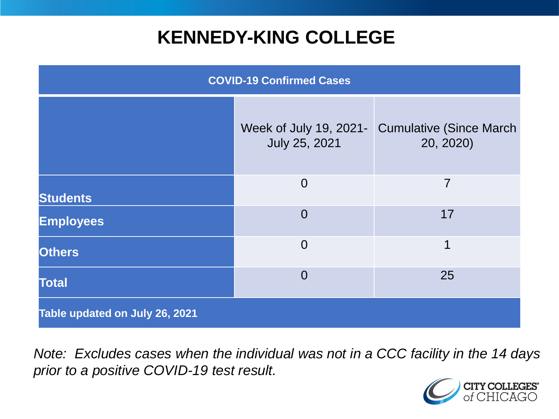## **KENNEDY-KING COLLEGE**

| <b>COVID-19 Confirmed Cases</b> |                                         |                                              |
|---------------------------------|-----------------------------------------|----------------------------------------------|
|                                 | Week of July 19, 2021-<br>July 25, 2021 | <b>Cumulative (Since March)</b><br>20, 2020) |
| <b>Students</b>                 | $\overline{0}$                          | 7                                            |
| <b>Employees</b>                | $\Omega$                                | 17                                           |
| <b>Others</b>                   | $\overline{0}$                          | 1                                            |
| <b>Total</b>                    | $\overline{0}$                          | 25                                           |
| Table updated on July 26, 2021  |                                         |                                              |

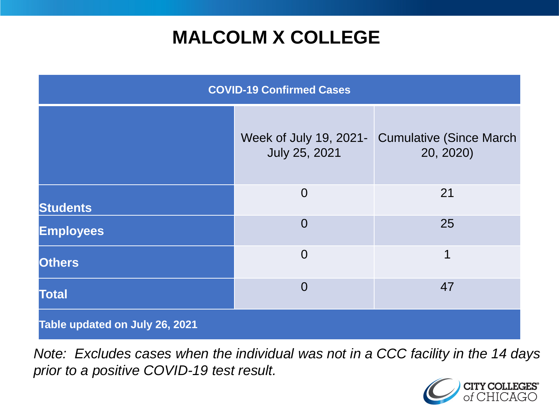## **MALCOLM X COLLEGE**

| <b>COVID-19 Confirmed Cases</b> |                                         |                                              |
|---------------------------------|-----------------------------------------|----------------------------------------------|
|                                 | Week of July 19, 2021-<br>July 25, 2021 | <b>Cumulative (Since March)</b><br>20, 2020) |
| <b>Students</b>                 | $\overline{0}$                          | 21                                           |
| <b>Employees</b>                | $\overline{0}$                          | 25                                           |
| <b>Others</b>                   | $\overline{0}$                          | 1                                            |
| <b>Total</b>                    | $\overline{0}$                          | 47                                           |
| Table updated on July 26, 2021  |                                         |                                              |

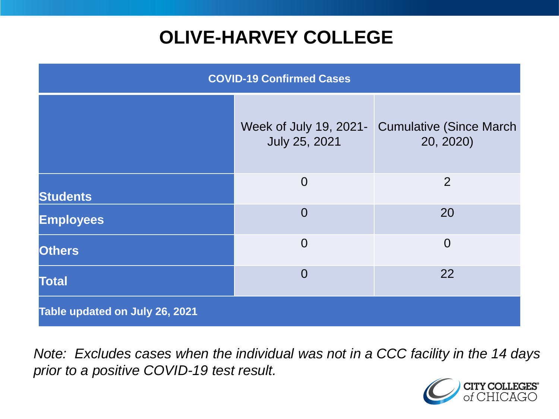# **OLIVE-HARVEY COLLEGE**

| <b>COVID-19 Confirmed Cases</b> |                                         |                                              |
|---------------------------------|-----------------------------------------|----------------------------------------------|
|                                 | Week of July 19, 2021-<br>July 25, 2021 | <b>Cumulative (Since March)</b><br>20, 2020) |
| <b>Students</b>                 | $\overline{0}$                          | 2                                            |
| <b>Employees</b>                | $\overline{0}$                          | 20                                           |
| <b>Others</b>                   | $\overline{0}$                          | $\overline{0}$                               |
| <b>Total</b>                    | $\overline{0}$                          | 22                                           |
| Table updated on July 26, 2021  |                                         |                                              |

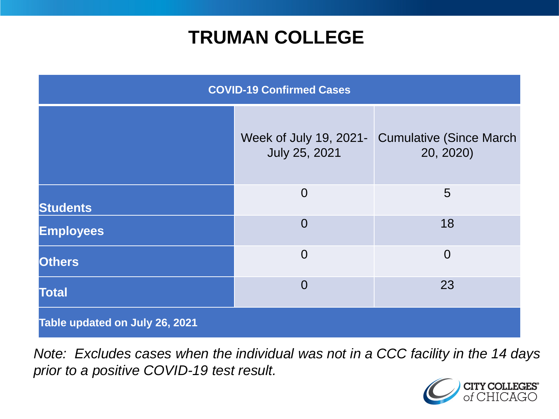### **TRUMAN COLLEGE**

| <b>COVID-19 Confirmed Cases</b> |                                         |                                              |
|---------------------------------|-----------------------------------------|----------------------------------------------|
|                                 | Week of July 19, 2021-<br>July 25, 2021 | <b>Cumulative (Since March)</b><br>20, 2020) |
| <b>Students</b>                 | $\overline{0}$                          | 5                                            |
| <b>Employees</b>                | $\overline{0}$                          | 18                                           |
| <b>Others</b>                   | $\overline{0}$                          | $\overline{0}$                               |
| <b>Total</b>                    | $\overline{0}$                          | 23                                           |
| Table updated on July 26, 2021  |                                         |                                              |

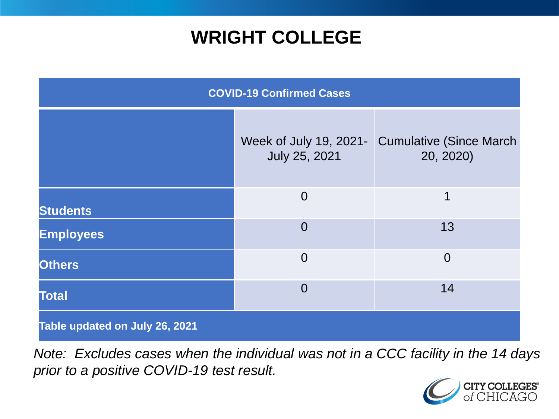### **WRIGHT COLLEGE**

| <b>COVID-19 Confirmed Cases</b> |                                         |                                              |
|---------------------------------|-----------------------------------------|----------------------------------------------|
|                                 | Week of July 19, 2021-<br>July 25, 2021 | <b>Cumulative (Since March)</b><br>20, 2020) |
| <b>Students</b>                 | $\overline{0}$                          | 1                                            |
| <b>Employees</b>                | $\overline{0}$                          | 13                                           |
| <b>Others</b>                   | $\overline{0}$                          | $\overline{0}$                               |
| <b>Total</b>                    | $\overline{0}$                          | 14                                           |
| Table updated on July 26, 2021  |                                         |                                              |